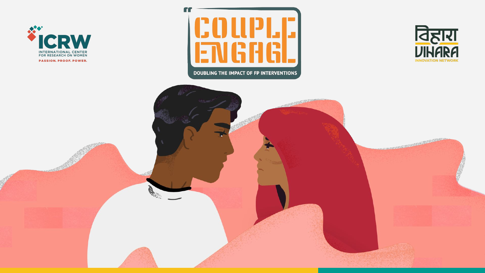







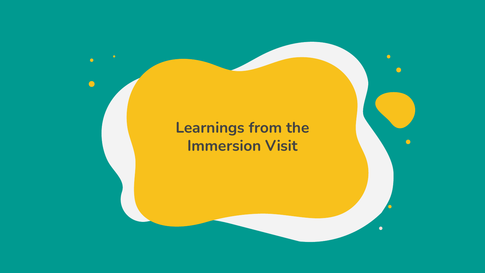# **Learnings from the Immersion Visit**

 $\bigodot$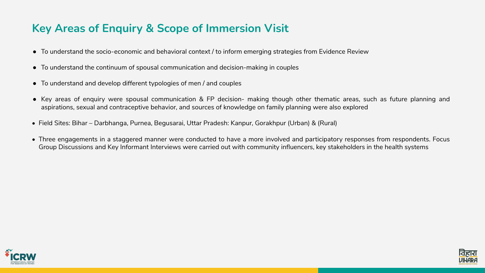# **Key Areas of Enquiry & Scope of Immersion Visit**

- To understand the socio-economic and behavioral context / to inform emerging strategies from Evidence Review
- To understand the continuum of spousal communication and decision-making in couples
- To understand and develop different typologies of men / and couples
- aspirations, sexual and contraceptive behavior, and sources of knowledge on family planning were also explored
- Field Sites: Bihar Darbhanga, Purnea, Begusarai, Uttar Pradesh: Kanpur, Gorakhpur (Urban) & (Rural)
- 



● Key areas of enquiry were spousal communication & FP decision- making though other thematic areas, such as future planning and

• Three engagements in a staggered manner were conducted to have a more involved and participatory responses from respondents. Focus Group Discussions and Key Informant Interviews were carried out with community influencers, key stakeholders in the health systems

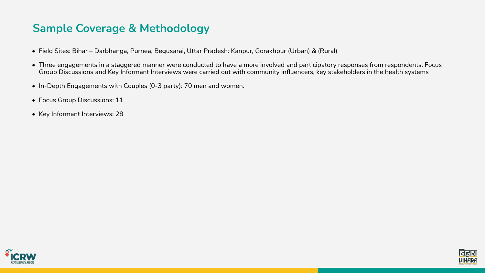# **Sample Coverage & Methodology**

• Three engagements in a staggered manner were conducted to have a more involved and participatory responses from respondents. Focus Group Discussions and Key Informant Interviews were carried out with community influencers, key stakeholders in the health systems



- Field Sites: Bihar Darbhanga, Purnea, Begusarai, Uttar Pradesh: Kanpur, Gorakhpur (Urban) & (Rural)
- 
- In-Depth Engagements with Couples (0-3 party): 70 men and women.
- Focus Group Discussions: 11
- Key Informant Interviews: 28

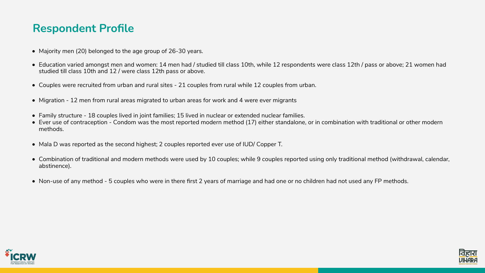### **Respondent Profile**

• Education varied amongst men and women: 14 men had / studied till class 10th, while 12 respondents were class 12th / pass or above; 21 women had

- Majority men (20) belonged to the age group of 26-30 years.
- studied till class 10th and 12 / were class 12th pass or above.
- Couples were recruited from urban and rural sites 21 couples from rural while 12 couples from urban.
- Migration 12 men from rural areas migrated to urban areas for work and 4 were ever migrants
- Family structure 18 couples lived in joint families; 15 lived in nuclear or extended nuclear families.
- methods.
- Mala D was reported as the second highest; 2 couples reported ever use of IUD/ Copper T.
- abstinence).
- Non-use of any method 5 couples who were in there first 2 years of marriage and had one or no children had not used any FP methods.



• Ever use of contraception - Condom was the most reported modern method (17) either standalone, or in combination with traditional or other modern

• Combination of traditional and modern methods were used by 10 couples; while 9 couples reported using only traditional method (withdrawal, calendar,

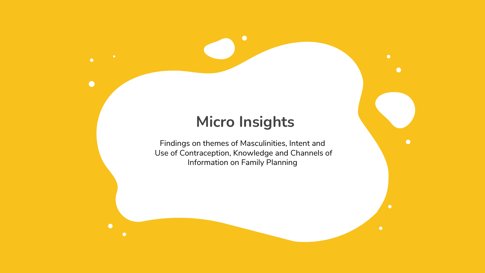# **Micro Insights**

 $\bullet$ 

 $\bullet$ 

 $\bullet$ 

 $\bullet$ 

 $\bullet$ 

Findings on themes of Masculinities, Intent and Use of Contraception, Knowledge and Channels of Information on Family Planning

 $\bullet$ 

 $\bullet$ 

 $\bullet$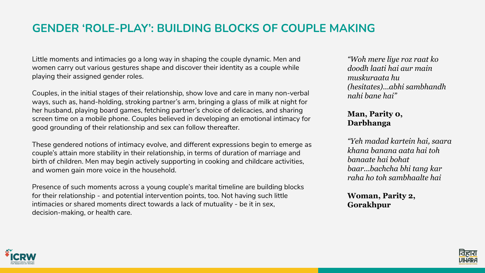# **GENDER 'ROLE-PLAY': BUILDING BLOCKS OF COUPLE MAKING**

Little moments and intimacies go a long way in shaping the couple dynamic. Men and women carry out various gestures shape and discover their identity as a couple while playing their assigned gender roles.

Couples, in the initial stages of their relationship, show love and care in many non-verbal ways, such as, hand-holding, stroking partner's arm, bringing a glass of milk at night for her husband, playing board games, fetching partner's choice of delicacies, and sharing screen time on a mobile phone. Couples believed in developing an emotional intimacy for good grounding of their relationship and sex can follow thereafter.

These gendered notions of intimacy evolve, and different expressions begin to emerge as couple's attain more stability in their relationship, in terms of duration of marriage and birth of children. Men may begin actively supporting in cooking and childcare activities, and women gain more voice in the household.

Presence of such moments across a young couple's marital timeline are building blocks for their relationship - and potential intervention points, too. Not having such little intimacies or shared moments direct towards a lack of mutuality - be it in sex, decision-making, or health care.



*"Woh mere liye roz raat ko doodh laati hai aur main muskuraata hu (hesitates)...abhi sambhandh nahi bane hai"*

**Man, Parity 0, Darbhanga**

*"Yeh madad kartein hai, saara khana banana aata hai toh banaate hai bohat baar...bachcha bhi tang kar raha ho toh sambhaalte hai* 

**Woman, Parity 2, Gorakhpur**

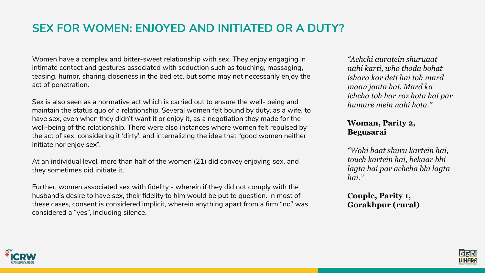# **SEX FOR WOMEN: ENJOYED AND INITIATED OR A DUTY?**

Women have a complex and bitter-sweet relationship with sex. They enjoy engaging in intimate contact and gestures associated with seduction such as touching, massaging, teasing, humor, sharing closeness in the bed etc. but some may not necessarily enjoy the act of penetration.

Sex is also seen as a normative act which is carried out to ensure the well- being and maintain the status quo of a relationship. Several women felt bound by duty, as a wife, to have sex, even when they didn't want it or enjoy it, as a negotiation they made for the well-being of the relationship. There were also instances where women felt repulsed by the act of sex, considering it 'dirty', and internalizing the idea that "good women neither initiate nor enjoy sex".

At an individual level, more than half of the women (21) did convey enjoying sex, and they sometimes did initiate it.

Further, women associated sex with fidelity - wherein if they did not comply with the husband's desire to have sex, their fidelity to him would be put to question. In most of these cases, consent is considered implicit, wherein anything apart from a firm "no" was considered a "yes", including silence.



*"Achchi auratein shuruaat nahi karti, who thoda bohat ishara kar deti hai toh mard maan jaata hai. Mard ka ichcha toh har roz hota hai par humare mein nahi hota."* 

#### **Woman, Parity 2, Begusarai**

*"Wohi baat shuru kartein hai, touch kartein hai, bekaar bhi lagta hai par achcha bhi lagta hai."* 

**Couple, Parity 1, Gorakhpur (rural)**

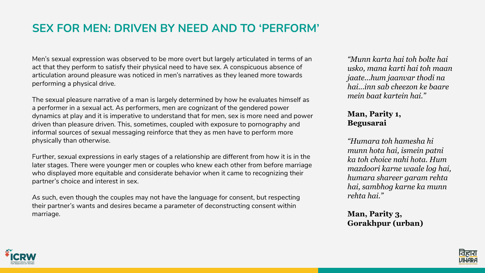# **SEX FOR MEN: DRIVEN BY NEED AND TO 'PERFORM'**

Men's sexual expression was observed to be more overt but largely articulated in terms of an act that they perform to satisfy their physical need to have sex. A conspicuous absence of articulation around pleasure was noticed in men's narratives as they leaned more towards performing a physical drive.

The sexual pleasure narrative of a man is largely determined by how he evaluates himself as a performer in a sexual act. As performers, men are cognizant of the gendered power dynamics at play and it is imperative to understand that for men, sex is more need and power driven than pleasure driven. This, sometimes, coupled with exposure to pornography and informal sources of sexual messaging reinforce that they as men have to perform more physically than otherwise.

Further, sexual expressions in early stages of a relationship are different from how it is in the later stages. There were younger men or couples who knew each other from before marriage who displayed more equitable and considerate behavior when it came to recognizing their partner's choice and interest in sex.

As such, even though the couples may not have the language for consent, but respecting their partner's wants and desires became a parameter of deconstructing consent within marriage.



*"Munn karta hai toh bolte hai usko, mana karti hai toh maan jaate...hum jaanvar thodi na hai...inn sab cheezon ke baare mein baat kartein hai."* 

#### **Man, Parity 1, Begusarai**

*"Humara toh hamesha hi munn hota hai, ismein patni ka toh choice nahi hota. Hum mazdoori karne waale log hai, humara shareer garam rehta hai, sambhog karne ka munn rehta hai."* 

#### **Man, Parity 3, Gorakhpur (urban)**

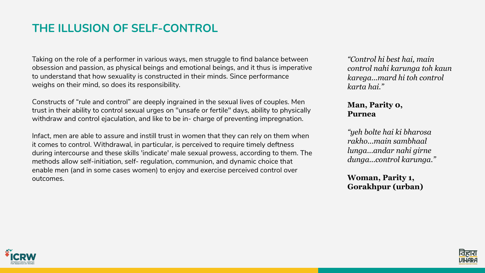# **THE ILLUSION OF SELF-CONTROL**

Taking on the role of a performer in various ways, men struggle to find balance between obsession and passion, as physical beings and emotional beings, and it thus is imperative to understand that how sexuality is constructed in their minds. Since performance weighs on their mind, so does its responsibility.

Constructs of "rule and control" are deeply ingrained in the sexual lives of couples. Men trust in their ability to control sexual urges on "unsafe or fertile" days, ability to physically withdraw and control ejaculation, and like to be in- charge of preventing impregnation.

Infact, men are able to assure and instill trust in women that they can rely on them when it comes to control. Withdrawal, in particular, is perceived to require timely deftness during intercourse and these skills 'indicate' male sexual prowess, according to them. The methods allow self-initiation, self- regulation, communion, and dynamic choice that enable men (and in some cases women) to enjoy and exercise perceived control over outcomes.



*"Control hi best hai, main control nahi karunga toh kaun karega...mard hi toh control karta hai."* 

#### **Man, Parity 0, Purnea**

*"yeh bolte hai ki bharosa rakho...main sambhaal lunga...andar nahi girne dunga...control karunga."* 

**Woman, Parity 1, Gorakhpur (urban)**

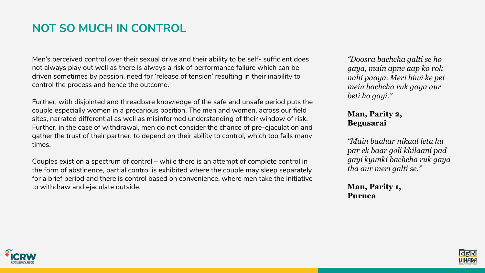# **NOT SO MUCH IN CONTROL**

Men's perceived control over their sexual drive and their ability to be self- sufficient does not always play out well as there is always a risk of performance failure which can be driven sometimes by passion, need for 'release of tension' resulting in their inability to control the process and hence the outcome.

Further, with disjointed and threadbare knowledge of the safe and unsafe period puts the couple especially women in a precarious position. The men and women, across our field sites, narrated differential as well as misinformed understanding of their window of risk. Further, in the case of withdrawal, men do not consider the chance of pre-ejaculation and gather the trust of their partner, to depend on their ability to control, which too fails many times.

Couples exist on a spectrum of control – while there is an attempt of complete control in the form of abstinence, partial control is exhibited where the couple may sleep separately for a brief period and there is control based on convenience, where men take the initiative to withdraw and ejaculate outside.



*"Doosra bachcha galti se ho gaya, main apne aap ko rok nahi paaya. Meri biwi ke pet mein bachcha ruk gaya aur beti ho gayi."* 

**Man, Parity 2, Begusarai**

*"Main baahar nikaal leta hu par ek baar goli khilaani pad gayi kyunki bachcha ruk gaya tha aur meri galti se."* 

**Man, Parity 1, Purnea**

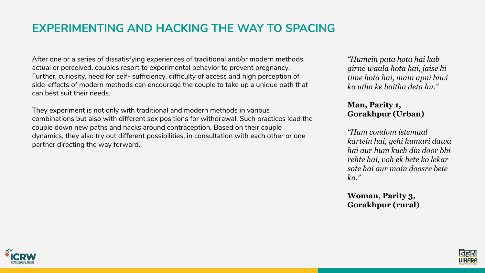# **EXPERIMENTING AND HACKING THE WAY TO SPACING**

After one or a series of dissatisfying experiences of traditional and/or modern methods, actual or perceived, couples resort to experimental behavior to prevent pregnancy. Further, curiosity, need for self- sufficiency, difficulty of access and high perception of side-effects of modern methods can encourage the couple to take up a unique path that can best suit their needs.

They experiment is not only with traditional and modern methods in various combinations but also with different sex positions for withdrawal. Such practices lead the couple down new paths and hacks around contraception. Based on their couple dynamics, they also try out different possibilities, in consultation with each other or one partner directing the way forward.



*"Humein pata hota hai kab girne waala hota hai, jaise hi time hota hai, main apni biwi ko utha ke baitha deta hu."* 

#### **Man, Parity 1, Gorakhpur (Urban)**

*"Hum condom istemaal kartein hai, yehi humari dawa hai aur hum kuch din door bhi rehte hai, voh ek bete ko lekar sote hai aur main doosre bete ko."* 

**Woman, Parity 3, Gorakhpur (rural)**

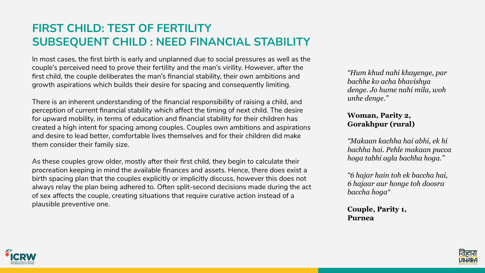# **FIRST CHILD: TEST OF FERTILITY SUBSEQUENT CHILD : NEED FINANCIAL STABILITY**

In most cases, the first birth is early and unplanned due to social pressures as well as the couple's perceived need to prove their fertility and the man's virility. However, after the first child, the couple deliberates the man's financial stability, their own ambitions and growth aspirations which builds their desire for spacing and consequently limiting.

There is an inherent understanding of the financial responsibility of raising a child, and perception of current financial stability which affect the timing of next child. The desire for upward mobility, in terms of education and financial stability for their children has created a high intent for spacing among couples. Couples own ambitions and aspirations and desire to lead better, comfortable lives themselves and for their children did make them consider their family size.

As these couples grow older, mostly after their first child, they begin to calculate their procreation keeping in mind the available finances and assets. Hence, there does exist a birth spacing plan that the couples explicitly or implicitly discuss, however this does not always relay the plan being adhered to. Often split-second decisions made during the act of sex affects the couple, creating situations that require curative action instead of a plausible preventive one.



*"Hum khud nahi khayenge, par bachhe ko acha bhavishya denge. Jo hume nahi mila, woh unhe denge."* 

#### **Woman, Parity 2, Gorakhpur (rural)**

*"Makaan kachha hai abhi, ek hi bachha hai. Pehle makaan pucca hoga tabhi agla bachha hoga."* 

*"6 hajar hain toh ek baccha hai, 6 hajaar aur honge toh doosra baccha hoga"*

**Couple, Parity 1, Purnea**

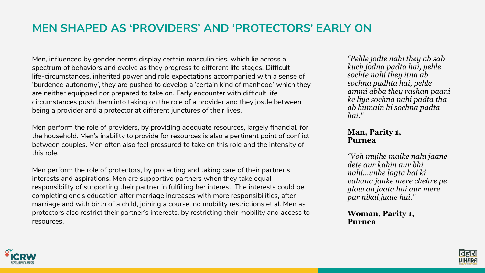# **MEN SHAPED AS 'PROVIDERS' AND 'PROTECTORS' EARLY ON**

Men, influenced by gender norms display certain masculinities, which lie across a spectrum of behaviors and evolve as they progress to different life stages. Difficult life-circumstances, inherited power and role expectations accompanied with a sense of 'burdened autonomy', they are pushed to develop a 'certain kind of manhood' which they are neither equipped nor prepared to take on. Early encounter with difficult life circumstances push them into taking on the role of a provider and they jostle between being a provider and a protector at different junctures of their lives.

Men perform the role of providers, by providing adequate resources, largely financial, for the household. Men's inability to provide for resources is also a pertinent point of conflict between couples. Men often also feel pressured to take on this role and the intensity of this role.

Men perform the role of protectors, by protecting and taking care of their partner's interests and aspirations. Men are supportive partners when they take equal responsibility of supporting their partner in fulfilling her interest. The interests could be completing one's education after marriage increases with more responsibilities, after marriage and with birth of a child, joining a course, no mobility restrictions et al. Men as protectors also restrict their partner's interests, by restricting their mobility and access to resources.



*"Pehle jodte nahi they ab sab kuch jodna padta hai, pehle sochte nahi they itna ab sochna padhta hai, pehle ammi abba they rashan paani ke liye sochna nahi padta tha ab humain hi sochna padta hai."* 

#### **Man, Parity 1, Purnea**

*"Voh mujhe maike nahi jaane dete aur kahin aur bhi nahi...unhe lagta hai ki vahana jaake mere chehre pe glow aa jaata hai aur mere par nikal jaate hai."* 

#### **Woman, Parity 1, Purnea**

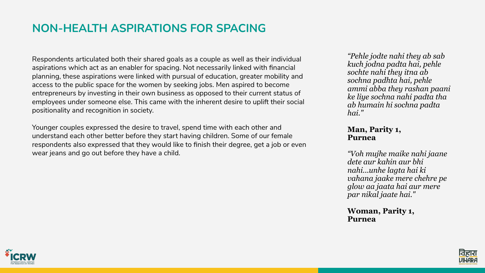# **NON-HEALTH ASPIRATIONS FOR SPACING**

Respondents articulated both their shared goals as a couple as well as their individual aspirations which act as an enabler for spacing. Not necessarily linked with financial planning, these aspirations were linked with pursual of education, greater mobility and access to the public space for the women by seeking jobs. Men aspired to become entrepreneurs by investing in their own business as opposed to their current status of employees under someone else. This came with the inherent desire to uplift their social positionality and recognition in society.

Younger couples expressed the desire to travel, spend time with each other and understand each other better before they start having children. Some of our female respondents also expressed that they would like to finish their degree, get a job or even wear jeans and go out before they have a child.



*"Pehle jodte nahi they ab sab kuch jodna padta hai, pehle sochte nahi they itna ab sochna padhta hai, pehle ammi abba they rashan paani ke liye sochna nahi padta tha ab humain hi sochna padta hai."* 

#### **Man, Parity 1, Purnea**

*"Voh mujhe maike nahi jaane dete aur kahin aur bhi nahi...unhe lagta hai ki vahana jaake mere chehre pe glow aa jaata hai aur mere par nikal jaate hai."* 

#### **Woman, Parity 1, Purnea**

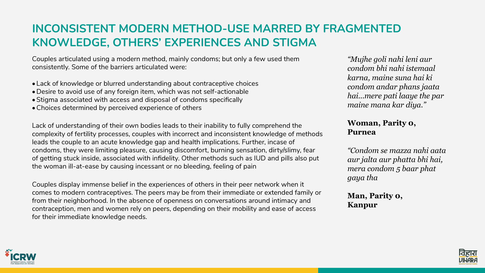# **INCONSISTENT MODERN METHOD-USE MARRED BY FRAGMENTED KNOWLEDGE, OTHERS' EXPERIENCES AND STIGMA**

Couples articulated using a modern method, mainly condoms; but only a few used them consistently. Some of the barriers articulated were:

- Lack of knowledge or blurred understanding about contraceptive choices
- •Desire to avoid use of any foreign item, which was not self-actionable
- •Stigma associated with access and disposal of condoms specifically
- •Choices determined by perceived experience of others

Lack of understanding of their own bodies leads to their inability to fully comprehend the complexity of fertility processes, couples with incorrect and inconsistent knowledge of methods leads the couple to an acute knowledge gap and health implications. Further, incase of condoms, they were limiting pleasure, causing discomfort, burning sensation, dirty/slimy, fear of getting stuck inside, associated with infidelity. Other methods such as IUD and pills also put the woman ill-at-ease by causing incessant or no bleeding, feeling of pain

Couples display immense belief in the experiences of others in their peer network when it comes to modern contraceptives. The peers may be from their immediate or extended family or from their neighborhood. In the absence of openness on conversations around intimacy and contraception, men and women rely on peers, depending on their mobility and ease of access for their immediate knowledge needs.



*"Mujhe goli nahi leni aur condom bhi nahi istemaal karna, maine suna hai ki condom andar phans jaata hai...mere pati laaye the par maine mana kar diya."* 

#### **Woman, Parity 0, Purnea**

*"Condom se mazza nahi aata aur jalta aur phatta bhi hai, mera condom 5 baar phat gaya tha* 

**Man, Parity 0, Kanpur**

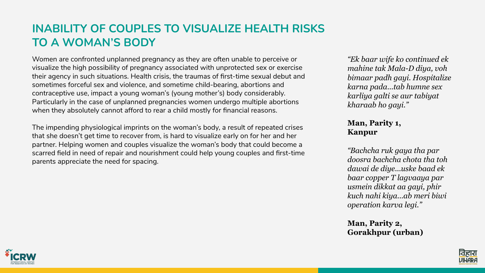### **INABILITY OF COUPLES TO VISUALIZE HEALTH RISKS TO A WOMAN'S BODY**

Women are confronted unplanned pregnancy as they are often unable to perceive or visualize the high possibility of pregnancy associated with unprotected sex or exercise their agency in such situations. Health crisis, the traumas of first-time sexual debut and sometimes forceful sex and violence, and sometime child-bearing, abortions and contraceptive use, impact a young woman's (young mother's) body considerably. Particularly in the case of unplanned pregnancies women undergo multiple abortions when they absolutely cannot afford to rear a child mostly for financial reasons.

The impending physiological imprints on the woman's body, a result of repeated crises that she doesn't get time to recover from, is hard to visualize early on for her and her partner. Helping women and couples visualize the woman's body that could become a scarred field in need of repair and nourishment could help young couples and first-time parents appreciate the need for spacing.



*"Ek baar wife ko continued ek mahine tak Mala-D diya, voh bimaar padh gayi. Hospitalize karna pada...tab humne sex karliya galti se aur tabiyat kharaab ho gayi."* 

**Man, Parity 1, Kanpur**

*"Bachcha ruk gaya tha par doosra bachcha chota tha toh dawai de diye...uske baad ek baar copper T lagvaaya par usmein dikkat aa gayi, phir kuch nahi kiya...ab meri biwi operation karva legi."* 

**Man, Parity 2, Gorakhpur (urban)**

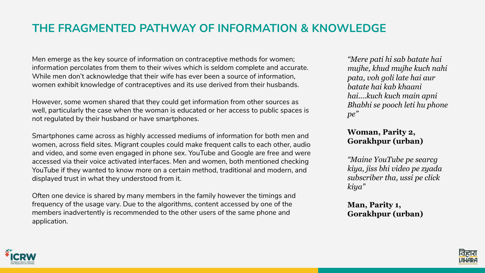### **THE FRAGMENTED PATHWAY OF INFORMATION & KNOWLEDGE**

Men emerge as the key source of information on contraceptive methods for women; information percolates from them to their wives which is seldom complete and accurate. While men don't acknowledge that their wife has ever been a source of information, women exhibit knowledge of contraceptives and its use derived from their husbands.

However, some women shared that they could get information from other sources as well, particularly the case when the woman is educated or her access to public spaces is not regulated by their husband or have smartphones.

Smartphones came across as highly accessed mediums of information for both men and women, across field sites. Migrant couples could make frequent calls to each other, audio and video, and some even engaged in phone sex. YouTube and Google are free and were accessed via their voice activated interfaces. Men and women, both mentioned checking YouTube if they wanted to know more on a certain method, traditional and modern, and displayed trust in what they understood from it.

Often one device is shared by many members in the family however the timings and frequency of the usage vary. Due to the algorithms, content accessed by one of the members inadvertently is recommended to the other users of the same phone and application.



*"Mere pati hi sab batate hai mujhe, khud mujhe kuch nahi pata, voh goli late hai aur batate hai kab khaani hai....kuch kuch main apni Bhabhi se pooch leti hu phone pe"* 

#### **Woman, Parity 2, Gorakhpur (urban)**

*"Maine YouTube pe searcg kiya, jiss bhi video pe zyada subscriber tha, ussi pe click kiya"* 

#### **Man, Parity 1, Gorakhpur (urban)**